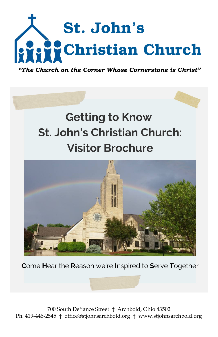

*"The Church on the Corner Whose Cornerstone is Christ"*

# **Getting to Know St. John's Christian Church: Visitor Brochure**



Come Hear the Reason we're Inspired to Serve Together

700 South Defiance Street † Archbold, Ohio 43502 Ph. 419-446-2545 † office@stjohnsarchbold.org † www.stjohnsarchbold.org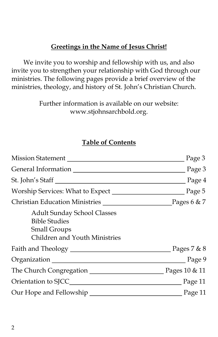## **Greetings in the Name of Jesus Christ!**

We invite you to worship and fellowship with us, and also invite you to strengthen your relationship with God through our ministries. The following pages provide a brief overview of the ministries, theology, and history of St. John's Christian Church.

> Further information is available on our website: www.stjohnsarchbold.org.

# **Table of Contents**

|                                                                                                                           | Page 3   |
|---------------------------------------------------------------------------------------------------------------------------|----------|
|                                                                                                                           |          |
| St. John's Staff                                                                                                          | Page $4$ |
|                                                                                                                           |          |
| Christian Education Ministries Pages 6 & 7                                                                                |          |
| <b>Adult Sunday School Classes</b><br><b>Bible Studies</b><br><b>Small Groups</b><br><b>Children and Youth Ministries</b> |          |
|                                                                                                                           |          |
| Organization Page 9                                                                                                       |          |
|                                                                                                                           |          |
|                                                                                                                           |          |
| Our Hope and Fellowship Page 11                                                                                           |          |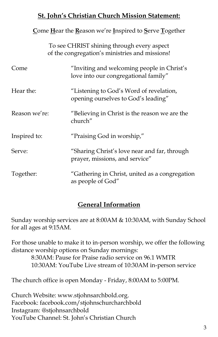# **St. John's Christian Church Mission Statement:**

#### **C**ome **H**ear the **R**eason we're **I**nspired to **S**erve **T**ogether

To see CHRIST shining through every aspect of the congregation's ministries and missions!

| Come          | "Inviting and welcoming people in Christ's<br>love into our congregational family" |
|---------------|------------------------------------------------------------------------------------|
| Hear the:     | "Listening to God's Word of revelation,<br>opening ourselves to God's leading"     |
| Reason we're: | "Believing in Christ is the reason we are the<br>church"                           |
| Inspired to:  | "Praising God in worship,"                                                         |
| Serve:        | "Sharing Christ's love near and far, through<br>prayer, missions, and service"     |
| Together:     | "Gathering in Christ, united as a congregation<br>as people of God"                |

# **General Information**

Sunday worship services are at 8:00AM & 10:30AM, with Sunday School for all ages at 9:15AM.

For those unable to make it to in-person worship, we offer the following distance worship options on Sunday mornings:

> 8:30AM: Pause for Praise radio service on 96.1 WMTR 10:30AM: YouTube Live stream of 10:30AM in-person service

The church office is open Monday - Friday, 8:00AM to 5:00PM.

Church Website: [www.stjohnsarchbold.org.](http://www.stjohnsarchbold.org) Facebook: facebook.com/stjohnschurcharchbold Instagram: @stjohnsarchbold YouTube Channel: St. John's Christian Church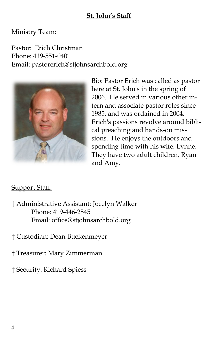# **St. John's Staff**

#### Ministry Team:

Pastor: Erich Christman Phone: 419-551-0401 Email: pastorerich@stjohnsarchbold.org



Bio: Pastor Erich was called as pastor here at St. John's in the spring of 2006. He served in various other intern and associate pastor roles since 1985, and was ordained in 2004. Erich's passions revolve around biblical preaching and hands-on missions. He enjoys the outdoors and spending time with his wife, Lynne. They have two adult children, Ryan and Amy.

#### Support Staff:

† Administrative Assistant: Jocelyn Walker Phone: 419-446-2545 Email: office@stjohnsarchbold.org

† Custodian: Dean Buckenmeyer

† Treasurer: Mary Zimmerman

† Security: Richard Spiess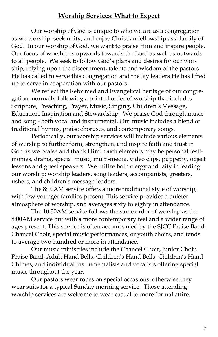#### **Worship Services: What to Expect**

Our worship of God is unique to who we are as a congregation as we worship, seek unity, and enjoy Christian fellowship as a family of God. In our worship of God, we want to praise Him and inspire people. Our focus of worship is upwards towards the Lord as well as outwards to all people. We seek to follow God's plans and desires for our worship, relying upon the discernment, talents and wisdom of the pastors He has called to serve this congregation and the lay leaders He has lifted up to serve in cooperation with our pastors.

We reflect the Reformed and Evangelical heritage of our congregation, normally following a printed order of worship that includes Scripture, Preaching, Prayer, Music, Singing, Children's Message, Education, Inspiration and Stewardship. We praise God through music and song - both vocal and instrumental. Our music includes a blend of traditional hymns, praise choruses, and contemporary songs.

Periodically, our worship services will include various elements of worship to further form, strengthen, and inspire faith and trust in God as we praise and thank Him. Such elements may be personal testimonies, drama, special music, multi-media, video clips, puppetry, object lessons and guest speakers. We utilize both clergy and laity in leading our worship: worship leaders, song leaders, accompanists, greeters, ushers, and children's message leaders.

The 8:00AM service offers a more traditional style of worship, with few younger families present. This service provides a quieter atmosphere of worship, and averages sixty to eighty in attendance.

The 10:30AM service follows the same order of worship as the 8:00AM service but with a more contemporary feel and a wider range of ages present. This service is often accompanied by the SJCC Praise Band, Chancel Choir, special music performances, or youth choirs, and tends to average two-hundred or more in attendance.

Our music ministries include the Chancel Choir, Junior Choir, Praise Band, Adult Hand Bells, Children's Hand Bells, Children's Hand Chimes, and individual instrumentalists and vocalists offering special music throughout the year.

Our pastors wear robes on special occasions; otherwise they wear suits for a typical Sunday morning service. Those attending worship services are welcome to wear casual to more formal attire.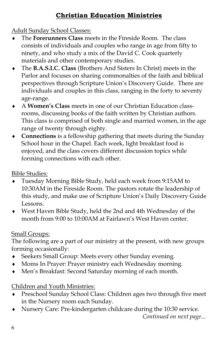# **Christian Education Ministries**

Adult Sunday School Classes:

- The **Forerunners Class** meets in the Fireside Room. The class consists of individuals and couples who range in age from fifty to ninety, and who study a mix of the David C. Cook quarterly materials and other contemporary studies.
- The **B.A.S.I.C. Class** (Brothers And Sisters In Christ) meets in the Parlor and focuses on sharing commonalties of the faith and biblical perspectives through Scripture Union's Discovery Guide. There are individuals and couples in this class, ranging in the forty to seventy age-range.
- A **Women's Class** meets in one of our Christian Education classrooms, discussing books of the faith written by Christian authors. This class is comprised of both single and married women, in the age range of twenty through eighty.
- **Connections** is a fellowship gathering that meets during the Sunday School hour in the Chapel. Each week, light breakfast food is enjoyed, and the class covers different discussion topics while forming connections with each other.

Bible Studies:

- Tuesday Morning Bible Study, held each week from 9:15AM to 10:30AM in the Fireside Room. The pastors rotate the leadership of this study, and make use of Scripture Union's Daily Discovery Guide Lessons.
- West Haven Bible Study, held the 2nd and 4th Wednesday of the month from 9:00 to 10:00AM at Fairlawn's West Haven center.

# Small Groups:

The following are a part of our ministry at the present, with new groups forming occasionally:

- Seekers Small Group: Meets every other Sunday evening.
- Moms In Prayer: Prayer ministry each Wednesday morning.
- Men's Breakfast: Second Saturday morning of each month.

Children and Youth Ministries:

- Preschool Sunday School Class: Children ages two through five meet in the Nursery room each Sunday.
- Nursery Care: Pre-kindergarten childcare during the 10:30 service.

*Continued on next page...*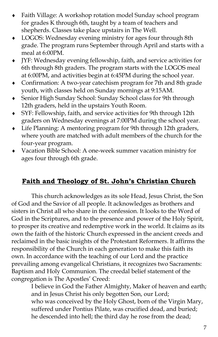- Faith Village: A workshop rotation model Sunday school program for grades K through 6th, taught by a team of teachers and shepherds. Classes take place upstairs in The Well.
- LOGOS: Wednesday evening ministry for ages four through 8th grade. The program runs September through April and starts with a meal at 6:00PM.
- JYF: Wednesday evening fellowship, faith, and service activities for 6th through 8th graders. The program starts with the LOGOS meal at 6:00PM, and activities begin at 6:45PM during the school year.
- Confirmation: A two-year catechism program for 7th and 8th grade youth, with classes held on Sunday mornings at 9:15AM.
- Senior High Sunday School: Sunday School class for 9th through 12th graders, held in the upstairs Youth Room.
- SYF: Fellowship, faith, and service activities for 9th through 12th graders on Wednesday evenings at 7:00PM during the school year.
- Life Planning: A mentoring program for 9th through 12th graders, where youth are matched with adult members of the church for the four-year program.
- Vacation Bible School: A one-week summer vacation ministry for ages four through 6th grade.

# **Faith and Theology of St. John's Christian Church**

This church acknowledges as its sole Head, Jesus Christ, the Son of God and the Savior of all people. It acknowledges as brothers and sisters in Christ all who share in the confession. It looks to the Word of God in the Scriptures, and to the presence and power of the Holy Spirit, to prosper its creative and redemptive work in the world. It claims as its own the faith of the historic Church expressed in the ancient creeds and reclaimed in the basic insights of the Protestant Reformers. It affirms the responsibility of the Church in each generation to make this faith its own. In accordance with the teaching of our Lord and the practice prevailing among evangelical Christians, it recognizes two Sacraments: Baptism and Holy Communion. The creedal belief statement of the congregation is The Apostles' Creed:

> I believe in God the Father Almighty, Maker of heaven and earth; and in Jesus Christ his only begotten Son, our Lord; who was conceived by the Holy Ghost, born of the Virgin Mary, suffered under Pontius Pilate, was crucified dead, and buried; he descended into hell; the third day he rose from the dead;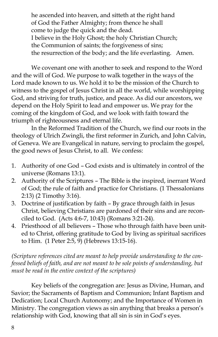he ascended into heaven, and sitteth at the right hand of God the Father Almighty; from thence he shall come to judge the quick and the dead. I believe in the Holy Ghost; the holy Christian Church; the Communion of saints; the forgiveness of sins; the resurrection of the body; and the life everlasting. Amen.

We covenant one with another to seek and respond to the Word and the will of God. We purpose to walk together in the ways of the Lord made known to us. We hold it to be the mission of the Church to witness to the gospel of Jesus Christ in all the world, while worshipping God, and striving for truth, justice, and peace. As did our ancestors, we depend on the Holy Spirit to lead and empower us. We pray for the coming of the kingdom of God, and we look with faith toward the triumph of righteousness and eternal life.

In the Reformed Tradition of the Church, we find our roots in the theology of Ulrich Zwingli, the first reformer in Zurich, and John Calvin, of Geneva. We are Evangelical in nature, serving to proclaim the gospel, the good news of Jesus Christ, to all. We confess:

- 1. Authority of one God God exists and is ultimately in control of the universe (Romans 13:1).
- 2. Authority of the Scriptures The Bible is the inspired, inerrant Word of God; the rule of faith and practice for Christians. (1 Thessalonians 2:13) (2 Timothy 3:16).
- 3. Doctrine of justification by faith By grace through faith in Jesus Christ, believing Christians are pardoned of their sins and are reconciled to God. (Acts 4:6-7, 10:43) (Romans 3:21-24).
- 4. Priesthood of all believers Those who through faith have been united to Christ, offering gratitude to God by living as spiritual sacrifices to Him. (1 Peter 2:5, 9) (Hebrews 13:15-16).

*(Scripture references cited are meant to help provide understanding to the confessed beliefs of faith, and are not meant to be sole points of understanding, but must be read in the entire context of the scriptures)*

Key beliefs of the congregation are: Jesus as Divine, Human, and Savior; the Sacraments of Baptism and Communion; Infant Baptism and Dedication; Local Church Autonomy; and the Importance of Women in Ministry. The congregation views as sin anything that breaks a person's relationship with God, knowing that all sin is sin in God's eyes.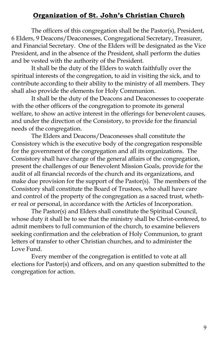#### **Organization of St. John's Christian Church**

The officers of this congregation shall be the Pastor(s), President, 6 Elders, 9 Deacons/Deaconesses, Congregational Secretary, Treasurer, and Financial Secretary. One of the Elders will be designated as the Vice President, and in the absence of the President, shall perform the duties and be vested with the authority of the President.

It shall be the duty of the Elders to watch faithfully over the spiritual interests of the congregation, to aid in visiting the sick, and to contribute according to their ability to the ministry of all members. They shall also provide the elements for Holy Communion.

It shall be the duty of the Deacons and Deaconesses to cooperate with the other officers of the congregation to promote its general welfare, to show an active interest in the offerings for benevolent causes, and under the direction of the Consistory, to provide for the financial needs of the congregation.

The Elders and Deacons/Deaconesses shall constitute the Consistory which is the executive body of the congregation responsible for the government of the congregation and all its organizations. The Consistory shall have charge of the general affairs of the congregation, present the challenges of our Benevolent Mission Goals, provide for the audit of all financial records of the church and its organizations, and make due provision for the support of the Pastor(s). The members of the Consistory shall constitute the Board of Trustees, who shall have care and control of the property of the congregation as a sacred trust, whether real or personal, in accordance with the Articles of Incorporation.

The Pastor(s) and Elders shall constitute the Spiritual Council, whose duty it shall be to see that the ministry shall be Christ-centered, to admit members to full communion of the church, to examine believers seeking confirmation and the celebration of Holy Communion, to grant letters of transfer to other Christian churches, and to administer the Love Fund.

Every member of the congregation is entitled to vote at all elections for Pastor(s) and officers, and on any question submitted to the congregation for action.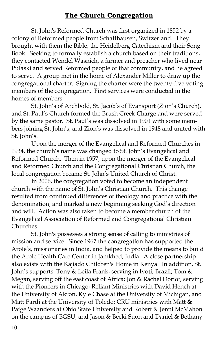## **The Church Congregation**

St. John's Reformed Church was first organized in 1852 by a colony of Reformed people from Schaffhausen, Switzerland. They brought with them the Bible, the Heidelberg Catechism and their Song Book. Seeking to formally establish a church based on their traditions, they contacted Wendel Wasnich, a farmer and preacher who lived near Pulaski and served Reformed people of that community, and he agreed to serve. A group met in the home of Alexander Miller to draw up the congregational charter. Signing the charter were the twenty-five voting members of the congregation. First services were conducted in the homes of members.

St. John's of Archbold, St. Jacob's of Evansport (Zion's Church), and St. Paul's Church formed the Brush Creek Charge and were served by the same pastor. St. Paul's was dissolved in 1901 with some members joining St. John's; and Zion's was dissolved in 1948 and united with St. John's.

Upon the merger of the Evangelical and Reformed Churches in 1934, the church's name was changed to St. John's Evangelical and Reformed Church. Then in 1957, upon the merger of the Evangelical and Reformed Church and the Congregational Christian Church, the local congregation became St. John's United Church of Christ.

In 2006, the congregation voted to become an independent church with the name of St. John's Christian Church. This change resulted from continued differences of theology and practice with the denomination, and marked a new beginning seeking God's direction and will. Action was also taken to become a member church of the Evangelical Association of Reformed and Congregational Christian Churches.

St. John's possesses a strong sense of calling to ministries of mission and service. Since 1967 the congregation has supported the Arole's, missionaries in India, and helped to provide the means to build the Arole Health Care Center in Jamkhed, India. A close partnership also exists with the Kajiado Children's Home in Kenya. In addition, St. John's supports: Tony & Leila Frank, serving in Ivoti, Brazil; Tom & Megan, serving off the east coast of Africa; Jon & Rachel Doriot, serving with the Pioneers in Chicago; Reliant Ministries with David Hench at the University of Akron, Kyle Chase at the University of Michigan, and Matt Pardi at the University of Toledo; CRU ministries with Matt & Paige Waanders at Ohio State University and Robert & Jenni McMahon on the campus of BGSU; and Jason & Becki Suon and Daniel & Bethany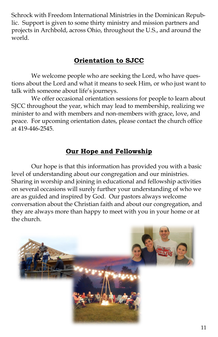Schrock with Freedom International Ministries in the Dominican Republic. Support is given to some thirty ministry and mission partners and projects in Archbold, across Ohio, throughout the U.S., and around the world.

### **Orientation to SJCC**

We welcome people who are seeking the Lord, who have questions about the Lord and what it means to seek Him, or who just want to talk with someone about life's journeys.

We offer occasional orientation sessions for people to learn about SJCC throughout the year, which may lead to membership, realizing we minister to and with members and non-members with grace, love, and peace. For upcoming orientation dates, please contact the church office at 419-446-2545.

## **Our Hope and Fellowship**

Our hope is that this information has provided you with a basic level of understanding about our congregation and our ministries. Sharing in worship and joining in educational and fellowship activities on several occasions will surely further your understanding of who we are as guided and inspired by God. Our pastors always welcome conversation about the Christian faith and about our congregation, and they are always more than happy to meet with you in your home or at the church.